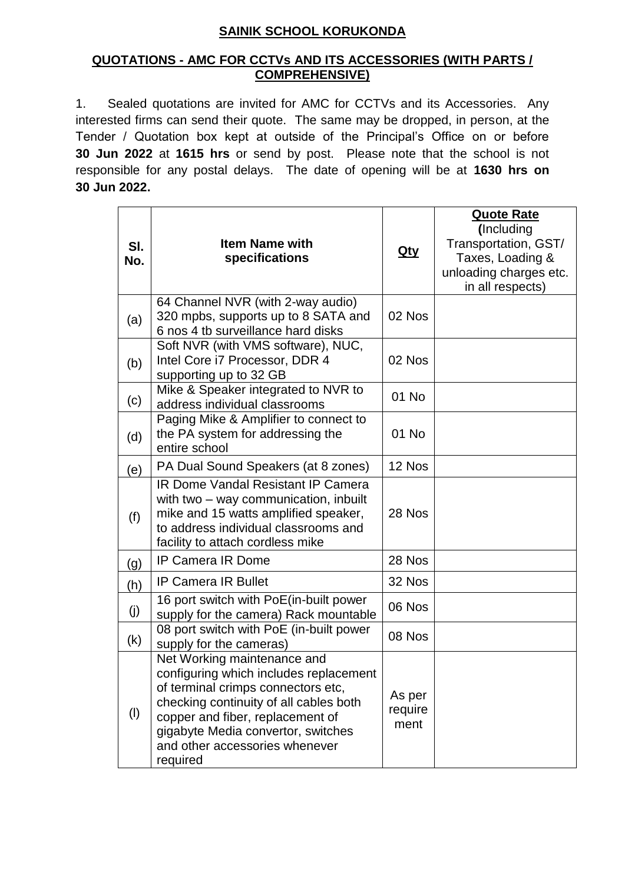## **SAINIK SCHOOL KORUKONDA**

## **QUOTATIONS - AMC FOR CCTVs AND ITS ACCESSORIES (WITH PARTS / COMPREHENSIVE)**

1. Sealed quotations are invited for AMC for CCTVs and its Accessories. Any interested firms can send their quote. The same may be dropped, in person, at the Tender / Quotation box kept at outside of the Principal's Office on or before **30 Jun 2022** at **1615 hrs** or send by post. Please note that the school is not responsible for any postal delays. The date of opening will be at **1630 hrs on 30 Jun 2022.** 

| SI.<br>No. | <b>Item Name with</b><br>specifications                                                                                                                                                                                                                                       | <u>Qty</u>                | <b>Quote Rate</b><br>(Including<br>Transportation, GST/<br>Taxes, Loading &<br>unloading charges etc.<br>in all respects) |
|------------|-------------------------------------------------------------------------------------------------------------------------------------------------------------------------------------------------------------------------------------------------------------------------------|---------------------------|---------------------------------------------------------------------------------------------------------------------------|
| (a)        | 64 Channel NVR (with 2-way audio)<br>320 mpbs, supports up to 8 SATA and<br>6 nos 4 tb surveillance hard disks                                                                                                                                                                | 02 Nos                    |                                                                                                                           |
| (b)        | Soft NVR (with VMS software), NUC,<br>Intel Core i7 Processor, DDR 4<br>supporting up to 32 GB                                                                                                                                                                                | 02 Nos                    |                                                                                                                           |
| (c)        | Mike & Speaker integrated to NVR to<br>address individual classrooms                                                                                                                                                                                                          | 01 No                     |                                                                                                                           |
| (d)        | Paging Mike & Amplifier to connect to<br>the PA system for addressing the<br>entire school                                                                                                                                                                                    | 01 No                     |                                                                                                                           |
| (e)        | PA Dual Sound Speakers (at 8 zones)                                                                                                                                                                                                                                           | 12 Nos                    |                                                                                                                           |
| (f)        | <b>IR Dome Vandal Resistant IP Camera</b><br>with two – way communication, inbuilt<br>mike and 15 watts amplified speaker,<br>to address individual classrooms and<br>facility to attach cordless mike                                                                        | 28 Nos                    |                                                                                                                           |
| (g)        | <b>IP Camera IR Dome</b>                                                                                                                                                                                                                                                      | 28 Nos                    |                                                                                                                           |
| (h)        | <b>IP Camera IR Bullet</b>                                                                                                                                                                                                                                                    | 32 Nos                    |                                                                                                                           |
| (j)        | 16 port switch with PoE(in-built power<br>supply for the camera) Rack mountable                                                                                                                                                                                               | 06 Nos                    |                                                                                                                           |
| (k)        | 08 port switch with PoE (in-built power<br>supply for the cameras)                                                                                                                                                                                                            | 08 Nos                    |                                                                                                                           |
| $($ l $)$  | Net Working maintenance and<br>configuring which includes replacement<br>of terminal crimps connectors etc,<br>checking continuity of all cables both<br>copper and fiber, replacement of<br>gigabyte Media convertor, switches<br>and other accessories whenever<br>required | As per<br>require<br>ment |                                                                                                                           |